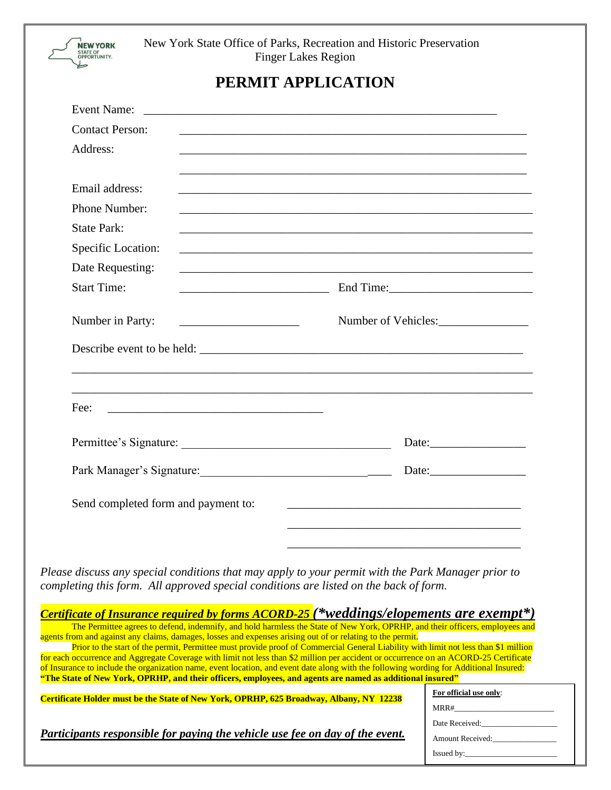

New York State Office of Parks, Recreation and Historic Preservation Finger Lakes Region

## **PERMIT APPLICATION**

| <b>Event Name:</b>                                            | <u> 2002 - Jan James James James James James James James James James James James James James James James James J</u>  |
|---------------------------------------------------------------|-----------------------------------------------------------------------------------------------------------------------|
| <b>Contact Person:</b>                                        |                                                                                                                       |
| Address:                                                      | ,我们也不能在这里的时候,我们也不能在这里的时候,我们也不能会在这里的时候,我们也不能会在这里的时候,我们也不能会在这里的时候,我们也不能会在这里的时候,我们也不                                     |
|                                                               |                                                                                                                       |
| Email address:                                                |                                                                                                                       |
| Phone Number:                                                 | <u> 1989 - Johann Barn, fransk politik (d. 1989)</u>                                                                  |
| <b>State Park:</b>                                            |                                                                                                                       |
| Specific Location:                                            | and the control of the control of the control of the control of the control of the control of the control of the      |
| Date Requesting:                                              |                                                                                                                       |
| <b>Start Time:</b>                                            |                                                                                                                       |
| <u> 1989 - Johann Barbara, martxa al-</u><br>Number in Party: | Number of Vehicles:                                                                                                   |
|                                                               |                                                                                                                       |
|                                                               |                                                                                                                       |
|                                                               |                                                                                                                       |
| Fee:                                                          |                                                                                                                       |
|                                                               |                                                                                                                       |
|                                                               | Date:                                                                                                                 |
| Park Manager's Signature: 1997 Manager's Signature:           |                                                                                                                       |
|                                                               |                                                                                                                       |
| Send completed form and payment to:                           | <u> 1989 - Johann Barn, mars ann an t-Amhair ann an t-Amhair an t-Amhair ann an t-Amhair an t-Amhair ann an t-Amh</u> |
|                                                               |                                                                                                                       |
|                                                               |                                                                                                                       |

*Please discuss any special conditions that may apply to your permit with the Park Manager prior to completing this form. All approved special conditions are listed on the back of form.* 

| Certificate of Insurance required by forms ACORD-25 (*weddings/elopements are exempt*)                                                 |                         |  |
|----------------------------------------------------------------------------------------------------------------------------------------|-------------------------|--|
| The Permittee agrees to defend, indemnify, and hold harmless the State of New York, OPRHP, and their officers, employees and           |                         |  |
| agents from and against any claims, damages, losses and expenses arising out of or relating to the permit.                             |                         |  |
| Prior to the start of the permit, Permittee must provide proof of Commercial General Liability with limit not less than \$1 million    |                         |  |
| for each occurrence and Aggregate Coverage with limit not less than \$2 million per accident or occurrence on an ACORD-25 Certificate  |                         |  |
| of Insurance to include the organization name, event location, and event date along with the following wording for Additional Insured: |                         |  |
| "The State of New York, OPRHP, and their officers, employees, and agents are named as additional insured"                              |                         |  |
| Certificate Holder must be the State of New York, OPRHP, 625 Broadway, Albany, NY 12238                                                | For official use only:  |  |
|                                                                                                                                        | MRR#                    |  |
|                                                                                                                                        | Date Received:          |  |
| Participants responsible for paying the vehicle use fee on day of the event.                                                           | <b>Amount Received:</b> |  |
|                                                                                                                                        | Issued by:              |  |